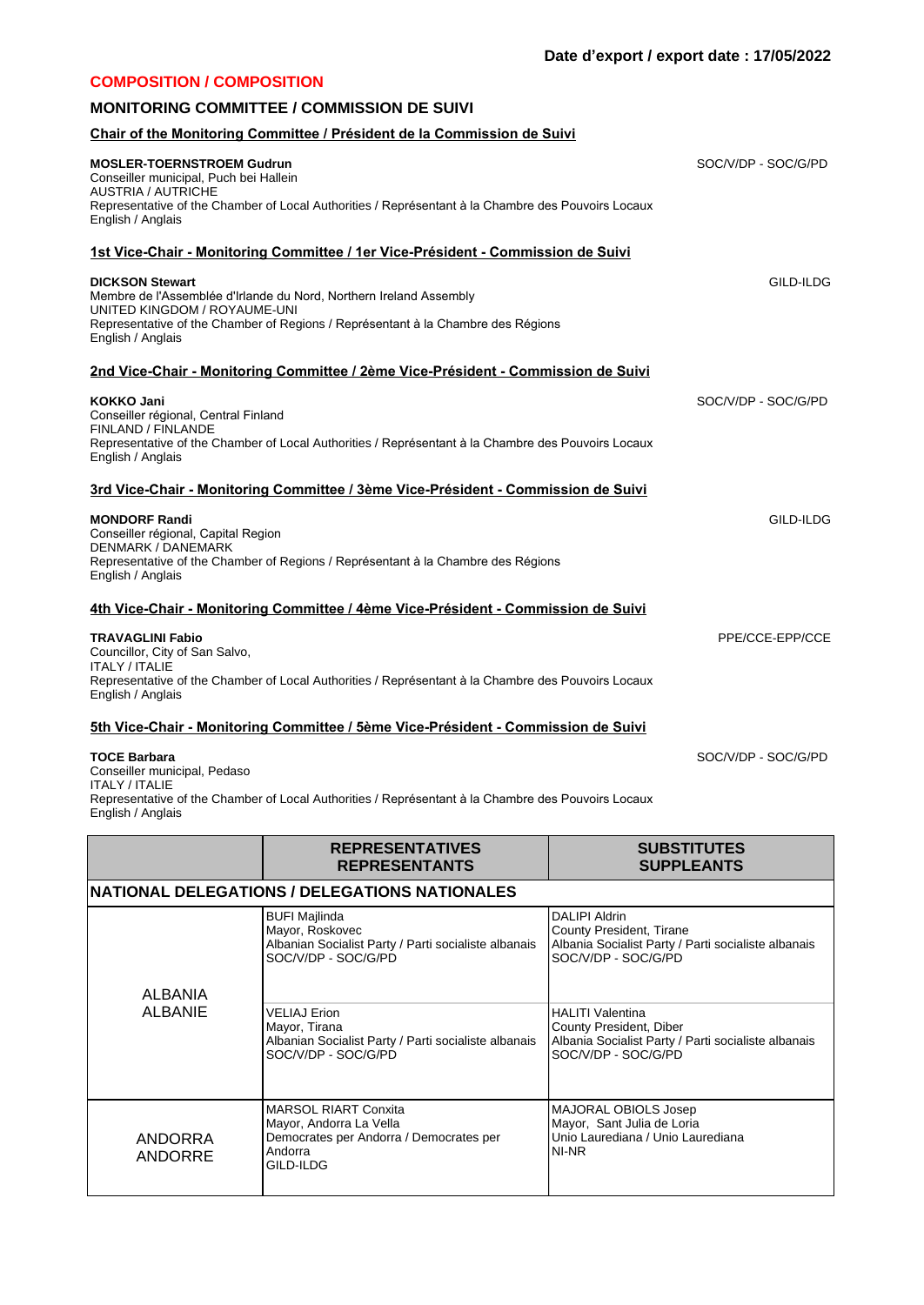## **Chair of the Monitoring Committee / Président de la Commission de Suivi MOSLER-TOERNSTROEM Gudrun** Conseiller municipal, Puch bei Hallein AUSTRIA / AUTRICHE Representative of the Chamber of Local Authorities / Représentant à la Chambre des Pouvoirs Locaux English / Anglais SOC/V/DP - SOC/G/PD **1st Vice-Chair - Monitoring Committee / 1er Vice-Président - Commission de Suivi DICKSON Stewart** Membre de l'Assemblée d'Irlande du Nord, Northern Ireland Assembly UNITED KINGDOM / ROYAUME-UNI Representative of the Chamber of Regions / Représentant à la Chambre des Régions English / Anglais GILD-ILDG **2nd Vice-Chair - Monitoring Committee / 2ème Vice-Président - Commission de Suivi KOKKO Jani** Conseiller régional, Central Finland FINLAND / FINLANDE Representative of the Chamber of Local Authorities / Représentant à la Chambre des Pouvoirs Locaux English / Anglais SOC/V/DP - SOC/G/PD **3rd Vice-Chair - Monitoring Committee / 3ème Vice-Président - Commission de Suivi MONDORF Randi** Conseiller régional, Capital Region DENMARK / DANEMARK Representative of the Chamber of Regions / Représentant à la Chambre des Régions English / Anglais GILD-ILDG **4th Vice-Chair - Monitoring Committee / 4ème Vice-Président - Commission de Suivi TRAVAGLINI Fabio** Councillor, City of San Salvo, ITALY / ITALIE Representative of the Chamber of Local Authorities / Représentant à la Chambre des Pouvoirs Locaux English / Anglais PPE/CCE-EPP/CCE **5th Vice-Chair - Monitoring Committee / 5ème Vice-Président - Commission de Suivi TOCE Barbara** SOC/V/DP - SOC/G/PD **COMPOSITION / COMPOSITION MONITORING COMMITTEE / COMMISSION DE SUIVI**

Conseiller municipal, Pedaso ITALY / ITALIE Representative of the Chamber of Local Authorities / Représentant à la Chambre des Pouvoirs Locaux English / Anglais

|                    | <b>REPRESENTATIVES</b><br><b>REPRESENTANTS</b>                                                                         | <b>SUBSTITUTES</b><br><b>SUPPLEANTS</b>                                                                                          |
|--------------------|------------------------------------------------------------------------------------------------------------------------|----------------------------------------------------------------------------------------------------------------------------------|
|                    | NATIONAL DELEGATIONS / DELEGATIONS NATIONALES                                                                          |                                                                                                                                  |
| <b>ALBANIA</b>     | <b>BUFI Majlinda</b><br>Mayor, Roskovec<br>Albanian Socialist Party / Parti socialiste albanais<br>SOC/V/DP - SOC/G/PD | <b>DALIPI Aldrin</b><br>County President, Tirane<br>Albania Socialist Party / Parti socialiste albanais<br>SOC/V/DP - SOC/G/PD   |
| <b>ALBANIE</b>     | <b>VELIAJ Erion</b><br>Mayor, Tirana<br>Albanian Socialist Party / Parti socialiste albanais<br>SOC/V/DP - SOC/G/PD    | <b>HALITI Valentina</b><br>County President, Diber<br>Albania Socialist Party / Parti socialiste albanais<br>SOC/V/DP - SOC/G/PD |
| ANDORRA<br>ANDORRE | MARSOL RIART Conxita<br>Mayor, Andorra La Vella<br>Democrates per Andorra / Democrates per<br>Andorra<br>GILD-ILDG     | MAJORAL OBIOLS Josep<br>Mayor, Sant Julia de Loria<br>Unio Laurediana / Unio Laurediana<br>NI-NR                                 |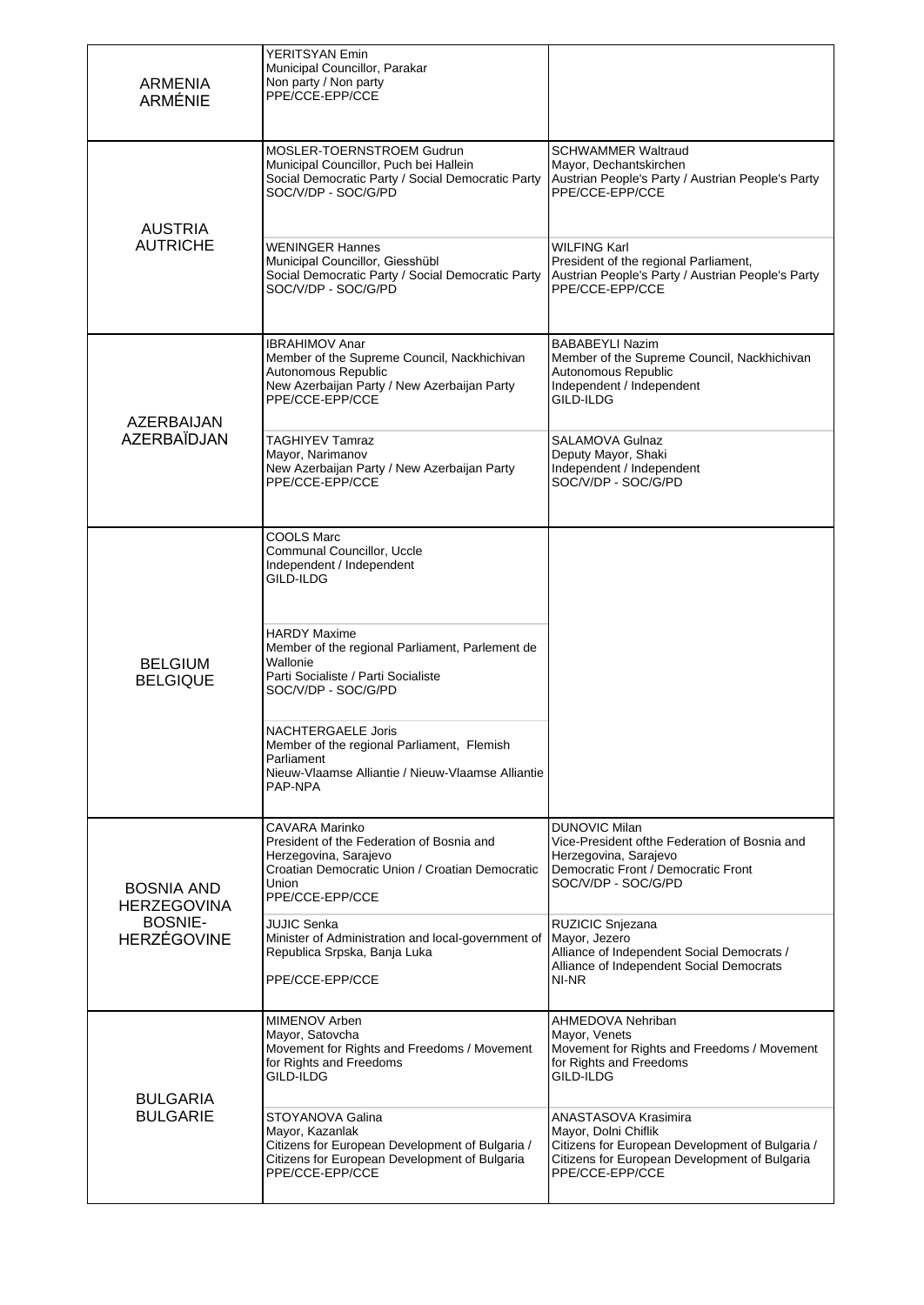| <b>ARMENIA</b><br><b>ARMÉNIE</b>        | <b>YERITSYAN Emin</b><br>Municipal Councillor, Parakar<br>Non party / Non party<br>PPE/CCE-EPP/CCE                                                                  |                                                                                                                                                                     |
|-----------------------------------------|---------------------------------------------------------------------------------------------------------------------------------------------------------------------|---------------------------------------------------------------------------------------------------------------------------------------------------------------------|
| <b>AUSTRIA</b>                          | MOSLER-TOERNSTROEM Gudrun<br>Municipal Councillor, Puch bei Hallein<br>Social Democratic Party / Social Democratic Party<br>SOC/V/DP - SOC/G/PD                     | <b>SCHWAMMER Waltraud</b><br>Mayor, Dechantskirchen<br>Austrian People's Party / Austrian People's Party<br>PPE/CCE-EPP/CCE                                         |
| <b>AUTRICHE</b>                         | <b>WENINGER Hannes</b><br>Municipal Councillor, Giesshübl<br>Social Democratic Party / Social Democratic Party<br>SOC/V/DP - SOC/G/PD                               | WILFING Karl<br>President of the regional Parliament,<br>Austrian People's Party / Austrian People's Party<br>PPE/CCE-EPP/CCE                                       |
| AZERBAIJAN                              | <b>IBRAHIMOV Anar</b><br>Member of the Supreme Council, Nackhichivan<br>Autonomous Republic<br>New Azerbaijan Party / New Azerbaijan Party<br>PPE/CCE-EPP/CCE       | <b>BABABEYLI Nazim</b><br>Member of the Supreme Council, Nackhichivan<br>Autonomous Republic<br>Independent / Independent<br>GILD-ILDG                              |
| <b>AZERBAÏDJAN</b>                      | <b>TAGHIYEV Tamraz</b><br>Mayor, Narimanov<br>New Azerbaijan Party / New Azerbaijan Party<br>PPE/CCE-EPP/CCE                                                        | <b>SALAMOVA Gulnaz</b><br>Deputy Mayor, Shaki<br>Independent / Independent<br>SOC/V/DP - SOC/G/PD                                                                   |
|                                         | COOLS Marc<br>Communal Councillor, Uccle<br>Independent / Independent<br>GILD-ILDG                                                                                  |                                                                                                                                                                     |
| <b>BELGIUM</b><br><b>BELGIQUE</b>       | HARDY Maxime<br>Member of the regional Parliament, Parlement de<br>Wallonie<br>Parti Socialiste / Parti Socialiste<br>SOC/V/DP - SOC/G/PD                           |                                                                                                                                                                     |
|                                         | <b>NACHTERGAELE Joris</b><br>Member of the regional Parliament, Flemish<br>Parliament<br>Nieuw-Vlaamse Alliantie / Nieuw-Vlaamse Alliantie<br>PAP-NPA               |                                                                                                                                                                     |
| <b>BOSNIA AND</b><br><b>HERZEGOVINA</b> | CAVARA Marinko<br>President of the Federation of Bosnia and<br>Herzegovina, Sarajevo<br>Croatian Democratic Union / Croatian Democratic<br>Union<br>PPE/CCE-EPP/CCE | <b>DUNOVIC Milan</b><br>Vice-President ofthe Federation of Bosnia and<br>Herzegovina, Sarajevo<br>Democratic Front / Democratic Front<br>SOC/V/DP - SOC/G/PD        |
| <b>BOSNIE-</b><br><b>HERZÉGOVINE</b>    | <b>JUJIC Senka</b><br>Minister of Administration and local-government of<br>Republica Srpska, Banja Luka<br>PPE/CCE-EPP/CCE                                         | RUZICIC Snjezana<br>Mayor, Jezero<br>Alliance of Independent Social Democrats /<br>Alliance of Independent Social Democrats<br>NI-NR                                |
| <b>BULGARIA</b><br><b>BULGARIE</b>      | MIMENOV Arben<br>Mayor, Satovcha<br>Movement for Rights and Freedoms / Movement<br>for Rights and Freedoms<br>GILD-ILDG                                             | AHMEDOVA Nehriban<br>Mayor, Venets<br>Movement for Rights and Freedoms / Movement<br>for Rights and Freedoms<br>GILD-ILDG                                           |
|                                         | STOYANOVA Galina<br>Mayor, Kazanlak<br>Citizens for European Development of Bulgaria /<br>Citizens for European Development of Bulgaria<br>PPE/CCE-EPP/CCE          | ANASTASOVA Krasimira<br>Mayor, Dolni Chiflik<br>Citizens for European Development of Bulgaria /<br>Citizens for European Development of Bulgaria<br>PPE/CCE-EPP/CCE |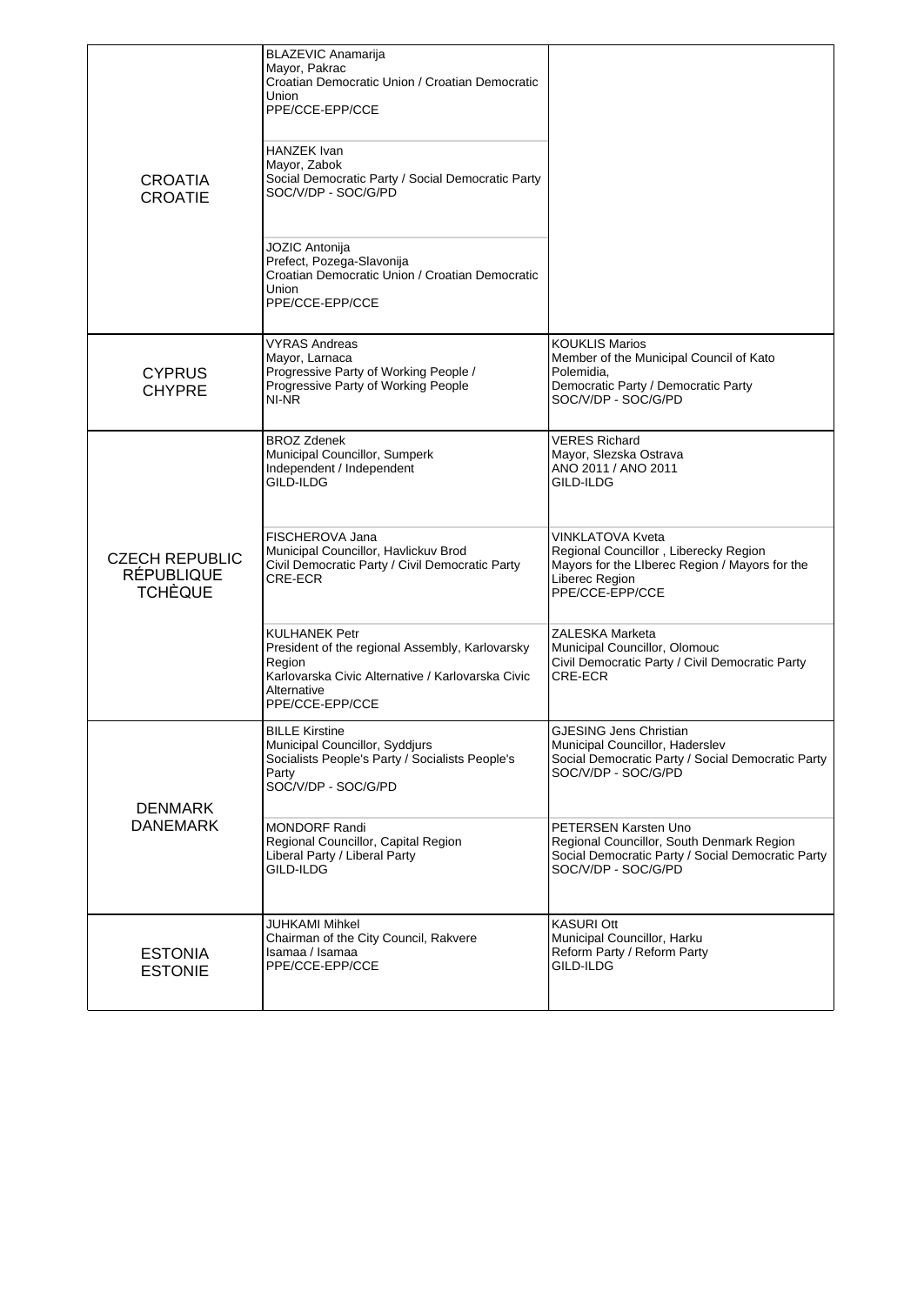| <b>CROATIA</b><br><b>CROATIE</b>                             | <b>BLAZEVIC Anamarija</b><br>Mayor, Pakrac<br>Croatian Democratic Union / Croatian Democratic<br>Union<br>PPE/CCE-EPP/CCE<br>HANZEK Ivan<br>Mayor, Zabok<br>Social Democratic Party / Social Democratic Party<br>SOC/V/DP - SOC/G/PD<br>JOZIC Antonija<br>Prefect, Pozega-Slavonija<br>Croatian Democratic Union / Croatian Democratic<br>Union<br>PPE/CCE-EPP/CCE                                 |                                                                                                                                                                                                                                                                                                                                                                        |
|--------------------------------------------------------------|----------------------------------------------------------------------------------------------------------------------------------------------------------------------------------------------------------------------------------------------------------------------------------------------------------------------------------------------------------------------------------------------------|------------------------------------------------------------------------------------------------------------------------------------------------------------------------------------------------------------------------------------------------------------------------------------------------------------------------------------------------------------------------|
| <b>CYPRUS</b><br><b>CHYPRE</b>                               | <b>VYRAS Andreas</b><br>Mayor, Larnaca<br>Progressive Party of Working People /<br>Progressive Party of Working People<br>NI-NR                                                                                                                                                                                                                                                                    | <b>KOUKLIS Marios</b><br>Member of the Municipal Council of Kato<br>Polemidia,<br>Democratic Party / Democratic Party<br>SOC/V/DP - SOC/G/PD                                                                                                                                                                                                                           |
| <b>CZECH REPUBLIC</b><br><b>RÉPUBLIQUE</b><br><b>TCHÈQUE</b> | <b>BROZ Zdenek</b><br>Municipal Councillor, Sumperk<br>Independent / Independent<br>GILD-ILDG<br>FISCHEROVA Jana<br>Municipal Councillor, Havlickuv Brod<br>Civil Democratic Party / Civil Democratic Party<br>CRE-ECR<br><b>KULHANEK Petr</b><br>President of the regional Assembly, Karlovarsky<br>Region<br>Karlovarska Civic Alternative / Karlovarska Civic<br>Alternative<br>PPE/CCE-EPP/CCE | <b>VERES Richard</b><br>Mayor, Slezska Ostrava<br>ANO 2011 / ANO 2011<br>GILD-ILDG<br><b>VINKLATOVA Kveta</b><br>Regional Councillor, Liberecky Region<br>Mayors for the Liberec Region / Mayors for the<br>Liberec Region<br>PPE/CCE-EPP/CCE<br><b>ZALESKA Marketa</b><br>Municipal Councillor, Olomouc<br>Civil Democratic Party / Civil Democratic Party<br>CRE-ECR |
| <b>DENMARK</b><br><b>DANEMARK</b>                            | <b>BILLE Kirstine</b><br>Municipal Councillor, Syddjurs<br>Socialists People's Party / Socialists People's<br>Party<br>SOC/V/DP - SOC/G/PD<br><b>MONDORF Randi</b><br>Regional Councillor, Capital Region<br>Liberal Party / Liberal Party<br>GILD-ILDG                                                                                                                                            | <b>GJESING Jens Christian</b><br>Municipal Councillor, Haderslev<br>Social Democratic Party / Social Democratic Party<br>SOC/V/DP - SOC/G/PD<br>PETERSEN Karsten Uno<br>Regional Councillor, South Denmark Region<br>Social Democratic Party / Social Democratic Party<br>SOC/V/DP - SOC/G/PD                                                                          |
| <b>ESTONIA</b><br><b>ESTONIE</b>                             | JUHKAMI Mihkel<br>Chairman of the City Council, Rakvere<br>Isamaa / Isamaa<br>PPE/CCE-EPP/CCE                                                                                                                                                                                                                                                                                                      | <b>KASURI Ott</b><br>Municipal Councillor, Harku<br>Reform Party / Reform Party<br>GILD-ILDG                                                                                                                                                                                                                                                                           |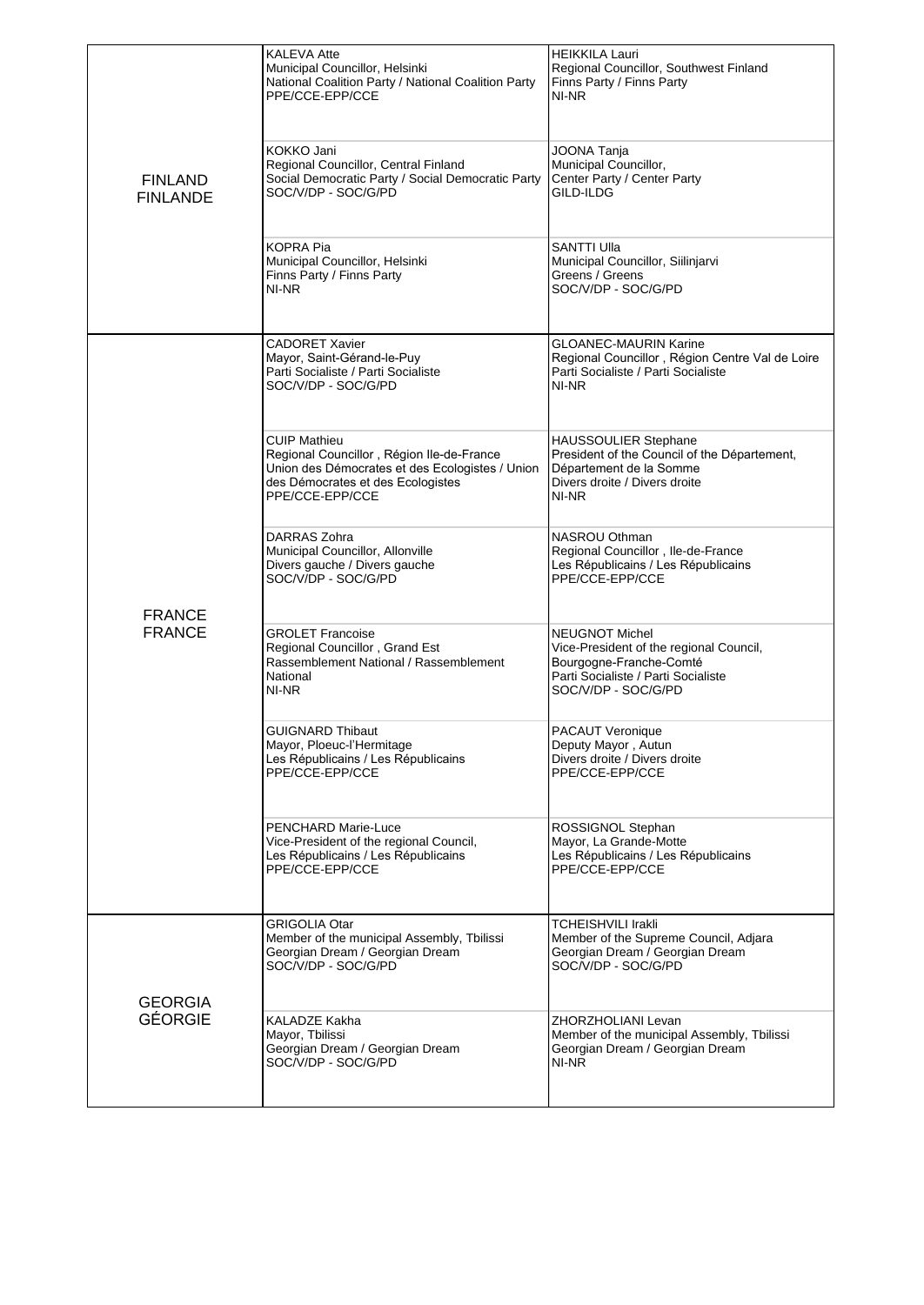| <b>FINLAND</b><br><b>FINLANDE</b> | <b>KALEVA Atte</b><br>Municipal Councillor, Helsinki<br>National Coalition Party / National Coalition Party<br>PPE/CCE-EPP/CCE<br>KOKKO Jani<br>Regional Councillor, Central Finland<br>Social Democratic Party / Social Democratic Party<br>SOC/V/DP - SOC/G/PD | <b>HEIKKILA Lauri</b><br>Regional Councillor, Southwest Finland<br>Finns Party / Finns Party<br>NI-NR<br><b>JOONA Tanja</b><br>Municipal Councillor,<br>Center Party / Center Party<br>GILD-ILDG |
|-----------------------------------|------------------------------------------------------------------------------------------------------------------------------------------------------------------------------------------------------------------------------------------------------------------|--------------------------------------------------------------------------------------------------------------------------------------------------------------------------------------------------|
|                                   | KOPRA Pia<br>Municipal Councillor, Helsinki<br>Finns Party / Finns Party<br>NI-NR                                                                                                                                                                                | <b>SANTTI Ulla</b><br>Municipal Councillor, Siilinjarvi<br>Greens / Greens<br>SOC/V/DP - SOC/G/PD                                                                                                |
|                                   | <b>CADORET Xavier</b><br>Mayor, Saint-Gérand-le-Puy<br>Parti Socialiste / Parti Socialiste<br>SOC/V/DP - SOC/G/PD                                                                                                                                                | <b>GLOANEC-MAURIN Karine</b><br>Regional Councillor, Région Centre Val de Loire<br>Parti Socialiste / Parti Socialiste<br>NI-NR                                                                  |
|                                   | CUIP Mathieu<br>Regional Councillor, Région Ile-de-France<br>Union des Démocrates et des Ecologistes / Union<br>des Démocrates et des Ecologistes<br>PPE/CCE-EPP/CCE                                                                                             | <b>HAUSSOULIER Stephane</b><br>President of the Council of the Département,<br>Département de la Somme<br>Divers droite / Divers droite<br>NI-NR                                                 |
| <b>FRANCE</b><br><b>FRANCE</b>    | DARRAS Zohra<br>Municipal Councillor, Allonville<br>Divers gauche / Divers gauche<br>SOC/V/DP - SOC/G/PD                                                                                                                                                         | NASROU Othman<br>Regional Councillor, Ile-de-France<br>Les Républicains / Les Républicains<br>PPE/CCE-EPP/CCE                                                                                    |
|                                   | <b>GROLET Francoise</b><br>Regional Councillor, Grand Est<br>Rassemblement National / Rassemblement<br>National<br>NI-NR                                                                                                                                         | <b>NEUGNOT Michel</b><br>Vice-President of the regional Council,<br>Bourgogne-Franche-Comté<br>Parti Socialiste / Parti Socialiste<br>SOC/V/DP - SOC/G/PD                                        |
|                                   | <b>GUIGNARD Thibaut</b><br>Mayor, Ploeuc-l'Hermitage<br>Les Républicains / Les Républicains<br>PPE/CCE-EPP/CCE                                                                                                                                                   | <b>PACAUT Veronique</b><br>Deputy Mayor, Autun<br>Divers droite / Divers droite<br>PPE/CCE-EPP/CCE                                                                                               |
|                                   | PENCHARD Marie-Luce<br>Vice-President of the regional Council,<br>Les Républicains / Les Républicains<br>PPE/CCE-EPP/CCE                                                                                                                                         | ROSSIGNOL Stephan<br>Mayor, La Grande-Motte<br>Les Républicains / Les Républicains<br>PPE/CCE-EPP/CCE                                                                                            |
| <b>GEORGIA</b><br><b>GÉORGIE</b>  | GRIGOLIA Otar<br>Member of the municipal Assembly, Tbilissi<br>Georgian Dream / Georgian Dream<br>SOC/V/DP - SOC/G/PD                                                                                                                                            | TCHEISHVILI Irakli<br>Member of the Supreme Council, Adjara<br>Georgian Dream / Georgian Dream<br>SOC/V/DP - SOC/G/PD                                                                            |
|                                   | KALADZE Kakha<br>Mayor, Tbilissi<br>Georgian Dream / Georgian Dream<br>SOC/V/DP - SOC/G/PD                                                                                                                                                                       | ZHORZHOLIANI Levan<br>Member of the municipal Assembly, Tbilissi<br>Georgian Dream / Georgian Dream<br>NI-NR                                                                                     |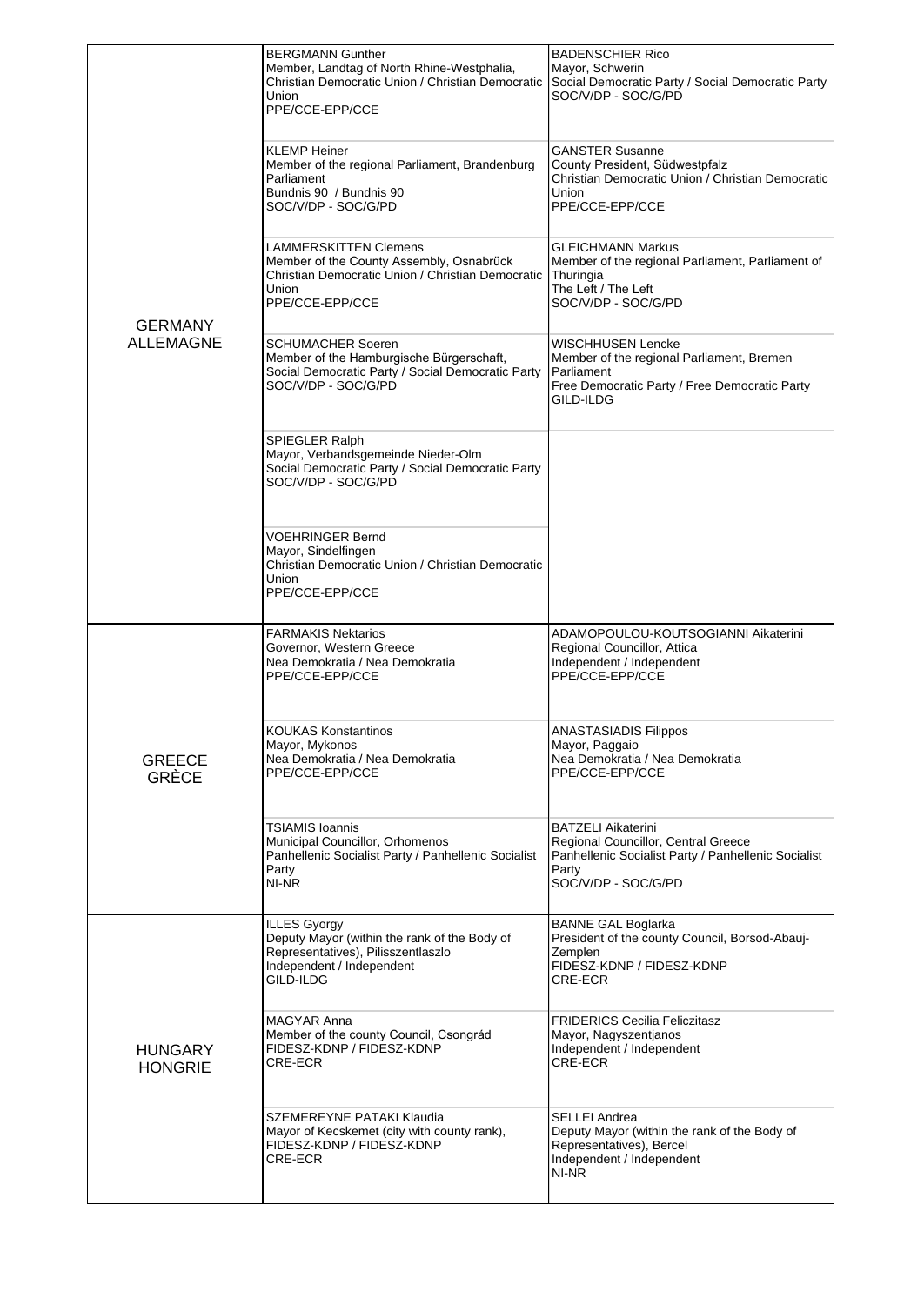|                                  | <b>BERGMANN Gunther</b><br>Member, Landtag of North Rhine-Westphalia,<br>Christian Democratic Union / Christian Democratic<br>Union<br>PPE/CCE-EPP/CCE<br><b>KLEMP Heiner</b><br>Member of the regional Parliament, Brandenburg | <b>BADENSCHIER Rico</b><br>Mayor, Schwerin<br>Social Democratic Party / Social Democratic Party<br>SOC/V/DP - SOC/G/PD<br><b>GANSTER Susanne</b><br>County President, Südwestpfalz |
|----------------------------------|---------------------------------------------------------------------------------------------------------------------------------------------------------------------------------------------------------------------------------|------------------------------------------------------------------------------------------------------------------------------------------------------------------------------------|
|                                  | Parliament<br>Bundnis 90 / Bundnis 90<br>SOC/V/DP - SOC/G/PD                                                                                                                                                                    | Christian Democratic Union / Christian Democratic<br>Union<br>PPE/CCE-EPP/CCE                                                                                                      |
| <b>GERMANY</b>                   | LAMMERSKITTEN Clemens<br>Member of the County Assembly, Osnabrück<br>Christian Democratic Union / Christian Democratic<br>Union<br>PPE/CCE-EPP/CCE                                                                              | <b>GLEICHMANN Markus</b><br>Member of the regional Parliament, Parliament of<br>Thuringia<br>The Left / The Left<br>SOC/V/DP - SOC/G/PD                                            |
| <b>ALLEMAGNE</b>                 | <b>SCHUMACHER Soeren</b><br>Member of the Hamburgische Bürgerschaft,<br>Social Democratic Party / Social Democratic Party<br>SOC/V/DP - SOC/G/PD                                                                                | WISCHHUSEN Lencke<br>Member of the regional Parliament, Bremen<br>Parliament<br>Free Democratic Party / Free Democratic Party<br>GILD-ILDG                                         |
|                                  | SPIEGLER Ralph<br>Mayor, Verbandsgemeinde Nieder-Olm<br>Social Democratic Party / Social Democratic Party<br>SOC/V/DP - SOC/G/PD                                                                                                |                                                                                                                                                                                    |
|                                  | <b>VOEHRINGER Bernd</b><br>Mayor, Sindelfingen<br>Christian Democratic Union / Christian Democratic<br>Union<br>PPE/CCE-EPP/CCE                                                                                                 |                                                                                                                                                                                    |
|                                  | <b>FARMAKIS Nektarios</b><br>Governor, Western Greece<br>Nea Demokratia / Nea Demokratia<br>PPE/CCE-EPP/CCE                                                                                                                     | ADAMOPOULOU-KOUTSOGIANNI Aikaterini<br>Regional Councillor, Attica<br>Independent / Independent<br>PPE/CCE-EPP/CCE                                                                 |
| <b>GREECE</b><br>GRÈCE           | <b>KOUKAS Konstantinos</b><br>Mayor, Mykonos                                                                                                                                                                                    | ANASTASIADIS Filippos                                                                                                                                                              |
|                                  | Nea Demokratia / Nea Demokratia<br>PPE/CCE-EPP/CCE                                                                                                                                                                              | Mayor, Paggaio<br>Nea Demokratia / Nea Demokratia<br>PPE/CCE-EPP/CCE                                                                                                               |
|                                  | <b>TSIAMIS Ioannis</b><br>Municipal Councillor, Orhomenos<br>Panhellenic Socialist Party / Panhellenic Socialist<br>Party<br>NI-NR                                                                                              | <b>BATZELI Aikaterini</b><br>Regional Councillor, Central Greece<br>Panhellenic Socialist Party / Panhellenic Socialist<br>Party<br>SOC/V/DP - SOC/G/PD                            |
|                                  | <b>ILLES Gyorgy</b><br>Deputy Mayor (within the rank of the Body of<br>Representatives), Pilisszentlaszlo<br>Independent / Independent<br>GILD-ILDG                                                                             | <b>BANNE GAL Boglarka</b><br>President of the county Council, Borsod-Abauj-<br>Zemplen<br>FIDESZ-KDNP / FIDESZ-KDNP<br>CRE-ECR                                                     |
| <b>HUNGARY</b><br><b>HONGRIE</b> | MAGYAR Anna<br>Member of the county Council, Csongrád<br>FIDESZ-KDNP / FIDESZ-KDNP<br>CRE-ECR                                                                                                                                   | <b>FRIDERICS Cecilia Feliczitasz</b><br>Mayor, Nagyszentjanos<br>Independent / Independent<br>CRE-ECR                                                                              |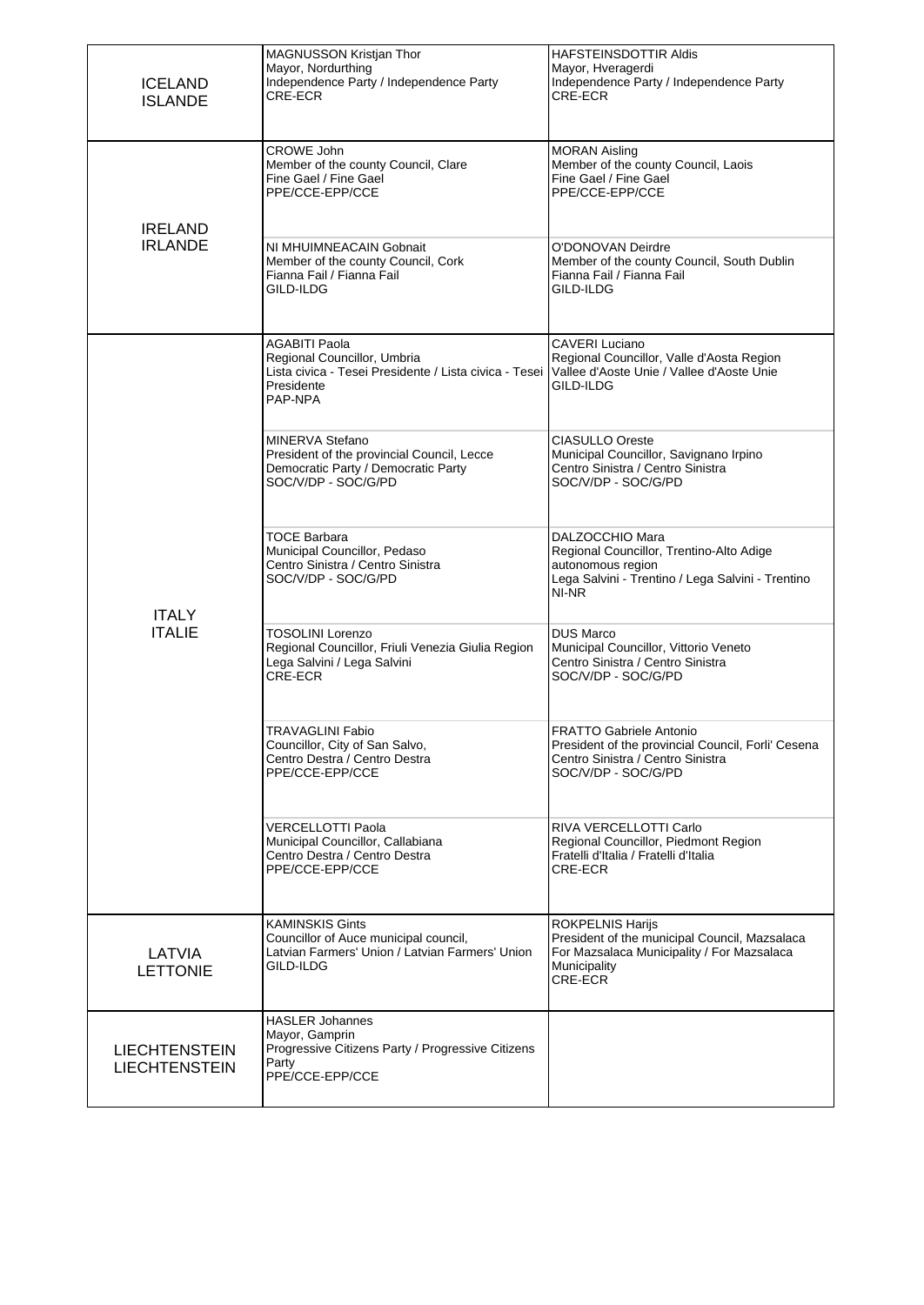| <b>ICELAND</b><br><b>ISLANDE</b>             | MAGNUSSON Kristjan Thor<br>Mayor, Nordurthing<br>Independence Party / Independence Party<br>CRE-ECR                                    | <b>HAFSTEINSDOTTIR Aldis</b><br>Mayor, Hveragerdi<br>Independence Party / Independence Party<br>CRE-ECR                                           |
|----------------------------------------------|----------------------------------------------------------------------------------------------------------------------------------------|---------------------------------------------------------------------------------------------------------------------------------------------------|
|                                              | <b>CROWE John</b><br>Member of the county Council, Clare<br>Fine Gael / Fine Gael<br>PPE/CCE-EPP/CCE                                   | <b>MORAN Aisling</b><br>Member of the county Council, Laois<br>Fine Gael / Fine Gael<br>PPE/CCE-EPP/CCE                                           |
| <b>IRELAND</b><br><b>IRLANDE</b>             | NI MHUIMNEACAIN Gobnait<br>Member of the county Council, Cork<br>Fianna Fail / Fianna Fail<br>GILD-ILDG                                | O'DONOVAN Deirdre<br>Member of the county Council, South Dublin<br>Fianna Fail / Fianna Fail<br>GILD-ILDG                                         |
|                                              | <b>AGABITI Paola</b><br>Regional Councillor, Umbria<br>Lista civica - Tesei Presidente / Lista civica - Tesei<br>Presidente<br>PAP-NPA | <b>CAVERI Luciano</b><br>Regional Councillor, Valle d'Aosta Region<br>Vallee d'Aoste Unie / Vallee d'Aoste Unie<br>GILD-ILDG                      |
|                                              | MINERVA Stefano<br>President of the provincial Council, Lecce<br>Democratic Party / Democratic Party<br>SOC/V/DP - SOC/G/PD            | <b>CIASULLO Oreste</b><br>Municipal Councillor, Savignano Irpino<br>Centro Sinistra / Centro Sinistra<br>SOC/V/DP - SOC/G/PD                      |
| <b>ITALY</b><br><b>ITALIE</b>                | TOCE Barbara<br>Municipal Councillor, Pedaso<br>Centro Sinistra / Centro Sinistra<br>SOC/V/DP - SOC/G/PD                               | DALZOCCHIO Mara<br>Regional Councillor, Trentino-Alto Adige<br>autonomous region<br>Lega Salvini - Trentino / Lega Salvini - Trentino<br>NI-NR    |
|                                              | TOSOLINI Lorenzo<br>Regional Councillor, Friuli Venezia Giulia Region<br>Lega Salvini / Lega Salvini<br>CRE-ECR                        | <b>DUS Marco</b><br>Municipal Councillor, Vittorio Veneto<br>Centro Sinistra / Centro Sinistra<br>SOC/V/DP - SOC/G/PD                             |
|                                              | TRAVAGLINI Fabio<br>Councillor, City of San Salvo,<br>Centro Destra / Centro Destra<br>PPE/CCE-EPP/CCE                                 | <b>FRATTO Gabriele Antonio</b><br>President of the provincial Council, Forli' Cesena<br>Centro Sinistra / Centro Sinistra<br>SOC/V/DP - SOC/G/PD  |
|                                              | VERCELLOTTI Paola<br>Municipal Councillor, Callabiana<br>Centro Destra / Centro Destra<br>PPE/CCE-EPP/CCE                              | RIVA VERCELLOTTI Carlo<br>Regional Councillor, Piedmont Region<br>Fratelli d'Italia / Fratelli d'Italia<br>CRE-ECR                                |
| LATVIA<br><b>LETTONIE</b>                    | <b>KAMINSKIS Gints</b><br>Councillor of Auce municipal council,<br>Latvian Farmers' Union / Latvian Farmers' Union<br>GILD-ILDG        | <b>ROKPELNIS Harijs</b><br>President of the municipal Council, Mazsalaca<br>For Mazsalaca Municipality / For Mazsalaca<br>Municipality<br>CRE-ECR |
| <b>LIECHTENSTEIN</b><br><b>LIECHTENSTEIN</b> | <b>HASLER Johannes</b><br>Mayor, Gamprin<br>Progressive Citizens Party / Progressive Citizens<br>Party<br>PPE/CCE-EPP/CCE              |                                                                                                                                                   |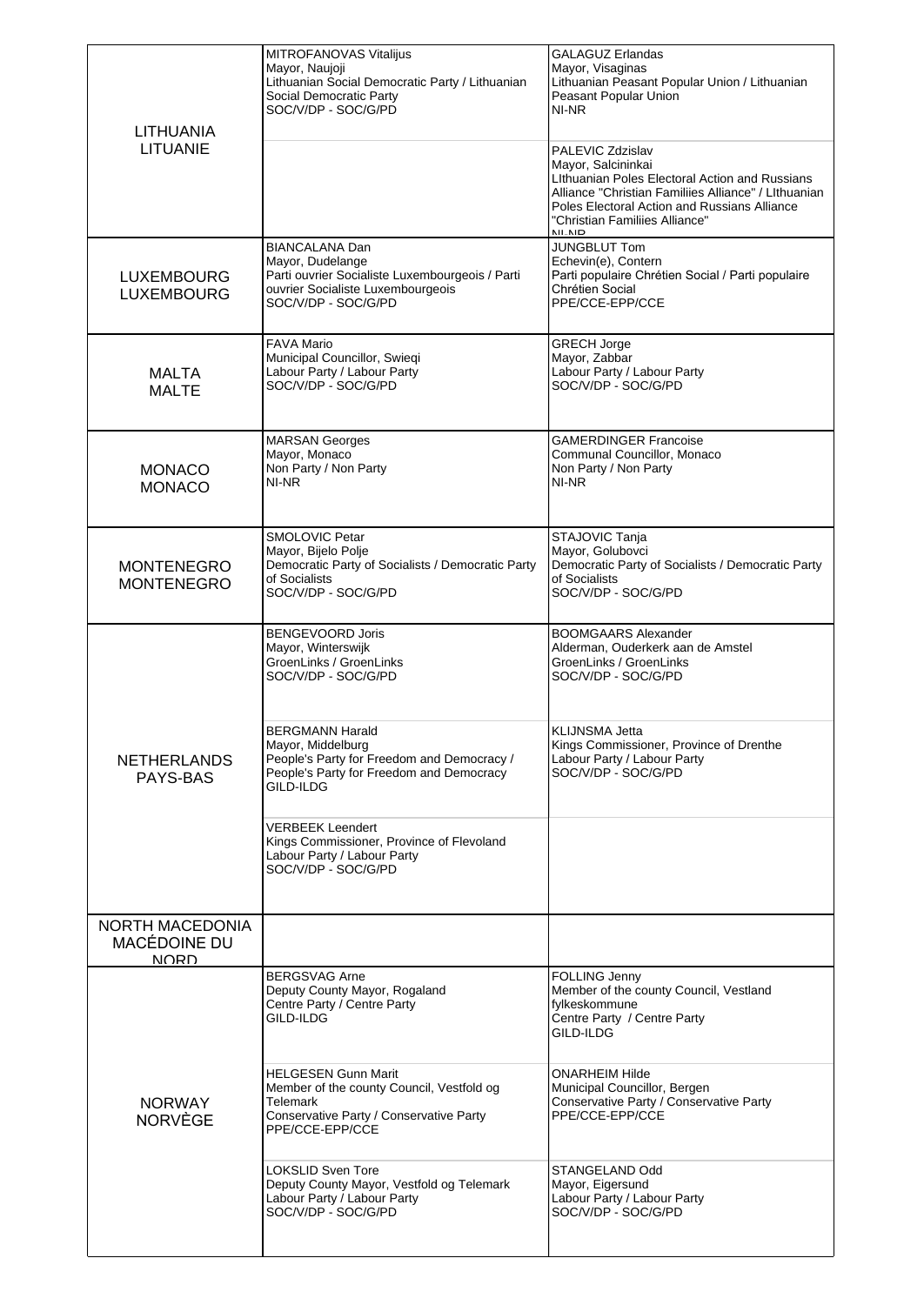| LITHUANIA<br>LITUANIE                                 | MITROFANOVAS Vitalijus<br>Mayor, Naujoji<br>Lithuanian Social Democratic Party / Lithuanian<br>Social Democratic Party<br>SOC/V/DP - SOC/G/PD            | <b>GALAGUZ Erlandas</b><br>Mayor, Visaginas<br>Lithuanian Peasant Popular Union / Lithuanian<br>Peasant Popular Union<br>NI-NR<br>PALEVIC Zdzislav<br>Mayor, Salcininkai<br>Lithuanian Poles Electoral Action and Russians<br>Alliance "Christian Familiies Alliance" / LIthuanian<br>Poles Electoral Action and Russians Alliance<br>"Christian Familiies Alliance" |
|-------------------------------------------------------|----------------------------------------------------------------------------------------------------------------------------------------------------------|----------------------------------------------------------------------------------------------------------------------------------------------------------------------------------------------------------------------------------------------------------------------------------------------------------------------------------------------------------------------|
| <b>LUXEMBOURG</b><br><b>LUXEMBOURG</b>                | <b>BIANCALANA Dan</b><br>Mayor, Dudelange<br>Parti ouvrier Socialiste Luxembourgeois / Parti<br>ouvrier Socialiste Luxembourgeois<br>SOC/V/DP - SOC/G/PD | NII NID<br><b>JUNGBLUT Tom</b><br>Echevin(e), Contern<br>Parti populaire Chrétien Social / Parti populaire<br>Chrétien Social<br>PPE/CCE-EPP/CCE                                                                                                                                                                                                                     |
| <b>MALTA</b><br><b>MALTE</b>                          | <b>FAVA Mario</b><br>Municipal Councillor, Swieqi<br>Labour Party / Labour Party<br>SOC/V/DP - SOC/G/PD                                                  | <b>GRECH Jorge</b><br>Mayor, Zabbar<br>Labour Party / Labour Party<br>SOC/V/DP - SOC/G/PD                                                                                                                                                                                                                                                                            |
| <b>MONACO</b><br><b>MONACO</b>                        | <b>MARSAN Georges</b><br>Mayor, Monaco<br>Non Party / Non Party<br>NI-NR                                                                                 | <b>GAMERDINGER Francoise</b><br>Communal Councillor, Monaco<br>Non Party / Non Party<br>NI-NR                                                                                                                                                                                                                                                                        |
| <b>MONTENEGRO</b><br><b>MONTENEGRO</b>                | SMOLOVIC Petar<br>Mayor, Bijelo Polje<br>Democratic Party of Socialists / Democratic Party<br>of Socialists<br>SOC/V/DP - SOC/G/PD                       | STAJOVIC Tanja<br>Mayor, Golubovci<br>Democratic Party of Socialists / Democratic Party<br>of Socialists<br>SOC/V/DP - SOC/G/PD                                                                                                                                                                                                                                      |
|                                                       | <b>BENGEVOORD Joris</b><br>Mayor, Winterswijk<br>GroenLinks / GroenLinks<br>SOC/V/DP - SOC/G/PD                                                          | <b>BOOMGAARS Alexander</b><br>Alderman, Ouderkerk aan de Amstel<br>GroenLinks / GroenLinks<br>SOC/V/DP - SOC/G/PD                                                                                                                                                                                                                                                    |
| <b>NETHERLANDS</b><br>PAYS-BAS                        | <b>BERGMANN Harald</b><br>Mayor, Middelburg<br>People's Party for Freedom and Democracy /<br>People's Party for Freedom and Democracy<br>GILD-ILDG       | <b>KLIJNSMA Jetta</b><br>Kings Commissioner, Province of Drenthe<br>Labour Party / Labour Party<br>SOC/V/DP - SOC/G/PD                                                                                                                                                                                                                                               |
|                                                       | <b>VERBEEK Leendert</b><br>Kings Commissioner, Province of Flevoland<br>Labour Party / Labour Party<br>SOC/V/DP - SOC/G/PD                               |                                                                                                                                                                                                                                                                                                                                                                      |
| <b>NORTH MACEDONIA</b><br>MACÉDOINE DU<br><b>NORD</b> |                                                                                                                                                          |                                                                                                                                                                                                                                                                                                                                                                      |
|                                                       | <b>BERGSVAG Arne</b><br>Deputy County Mayor, Rogaland<br>Centre Party / Centre Party<br>GILD-ILDG                                                        | FOLLING Jenny<br>Member of the county Council, Vestland<br>fylkeskommune<br>Centre Party / Centre Party<br>GILD-ILDG                                                                                                                                                                                                                                                 |
| <b>NORWAY</b><br><b>NORVÈGE</b>                       | <b>HELGESEN Gunn Marit</b><br>Member of the county Council, Vestfold og<br>Telemark<br>Conservative Party / Conservative Party<br>PPE/CCE-EPP/CCE        | ONARHEIM Hilde<br>Municipal Councillor, Bergen<br>Conservative Party / Conservative Party<br>PPE/CCE-EPP/CCE                                                                                                                                                                                                                                                         |
|                                                       | <b>LOKSLID Sven Tore</b><br>Deputy County Mayor, Vestfold og Telemark<br>Labour Party / Labour Party<br>SOC/V/DP - SOC/G/PD                              | STANGELAND Odd<br>Mayor, Eigersund<br>Labour Party / Labour Party<br>SOC/V/DP - SOC/G/PD                                                                                                                                                                                                                                                                             |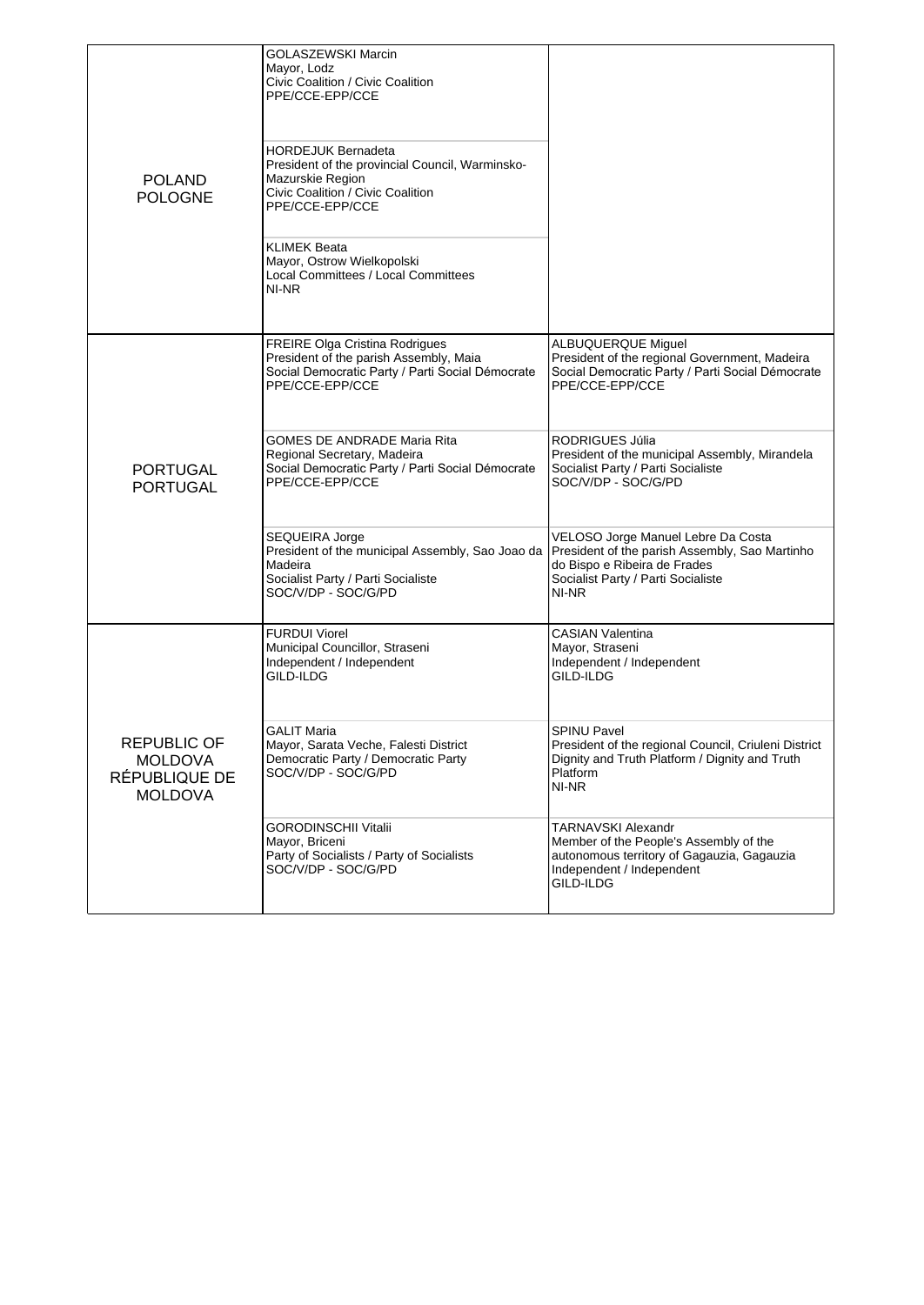| <b>POLAND</b><br><b>POLOGNE</b>                                         | <b>GOLASZEWSKI Marcin</b><br>Mayor, Lodz<br>Civic Coalition / Civic Coalition<br>PPE/CCE-EPP/CCE<br><b>HORDEJUK Bernadeta</b><br>President of the provincial Council, Warminsko-<br>Mazurskie Region<br>Civic Coalition / Civic Coalition<br>PPE/CCE-EPP/CCE<br>KLIMEK Beata<br>Mayor, Ostrow Wielkopolski<br>Local Committees / Local Committees<br>NI-NR |                                                                                                                                                                                                                        |
|-------------------------------------------------------------------------|------------------------------------------------------------------------------------------------------------------------------------------------------------------------------------------------------------------------------------------------------------------------------------------------------------------------------------------------------------|------------------------------------------------------------------------------------------------------------------------------------------------------------------------------------------------------------------------|
|                                                                         | <b>FREIRE Olga Cristina Rodrigues</b><br>President of the parish Assembly, Maia<br>Social Democratic Party / Parti Social Démocrate<br>PPE/CCE-EPP/CCE<br>GOMES DE ANDRADE Maria Rita<br>Regional Secretary, Madeira                                                                                                                                       | <b>ALBUQUERQUE Miguel</b><br>President of the regional Government, Madeira<br>Social Democratic Party / Parti Social Démocrate<br>PPE/CCE-EPP/CCE<br>RODRIGUES Júlia<br>President of the municipal Assembly, Mirandela |
| <b>PORTUGAL</b><br><b>PORTUGAL</b>                                      | Social Democratic Party / Parti Social Démocrate<br>PPE/CCE-EPP/CCE                                                                                                                                                                                                                                                                                        | Socialist Party / Parti Socialiste<br>SOC/V/DP - SOC/G/PD                                                                                                                                                              |
|                                                                         | SEQUEIRA Jorge<br>President of the municipal Assembly, Sao Joao da<br>Madeira<br>Socialist Party / Parti Socialiste<br>SOC/V/DP - SOC/G/PD                                                                                                                                                                                                                 | VELOSO Jorge Manuel Lebre Da Costa<br>President of the parish Assembly, Sao Martinho<br>do Bispo e Ribeira de Frades<br>Socialist Party / Parti Socialiste<br>NI-NR                                                    |
| <b>REPUBLIC OF</b><br><b>MOLDOVA</b><br>RÉPUBLIQUE DE<br><b>MOLDOVA</b> | <b>FURDUI Viorel</b><br>Municipal Councillor, Straseni<br>Independent / Independent<br>GILD-ILDG                                                                                                                                                                                                                                                           | <b>CASIAN Valentina</b><br>Mayor, Straseni<br>Independent / Independent<br>GILD-ILDG                                                                                                                                   |
|                                                                         | <b>GALIT Maria</b><br>Mayor, Sarata Veche, Falesti District<br>Democratic Party / Democratic Party<br>SOC/V/DP - SOC/G/PD                                                                                                                                                                                                                                  | <b>SPINU Pavel</b><br>President of the regional Council, Criuleni District<br>Dignity and Truth Platform / Dignity and Truth<br>Platform<br>NI-NR                                                                      |
|                                                                         | GORODINSCHII Vitalii<br>Mayor, Briceni<br>Party of Socialists / Party of Socialists<br>SOC/V/DP - SOC/G/PD                                                                                                                                                                                                                                                 | TARNAVSKI Alexandr<br>Member of the People's Assembly of the<br>autonomous territory of Gagauzia, Gagauzia<br>Independent / Independent<br>GILD-ILDG                                                                   |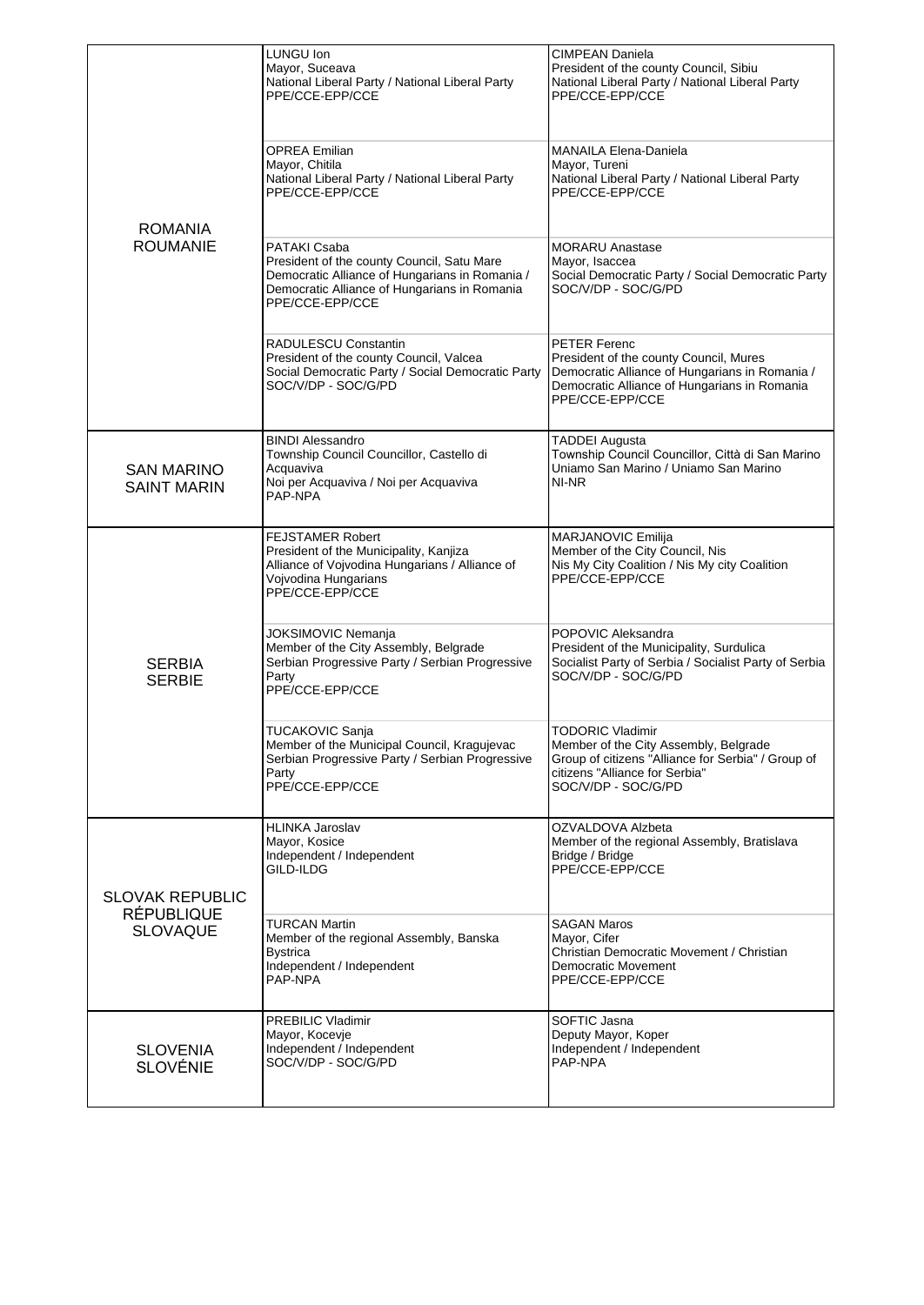| <b>ROMANIA</b><br><b>ROUMANIE</b>                              | LUNGU Ion<br>Mayor, Suceava<br>National Liberal Party / National Liberal Party<br>PPE/CCE-EPP/CCE<br><b>OPREA Emilian</b><br>Mayor, Chitila<br>National Liberal Party / National Liberal Party<br>PPE/CCE-EPP/CCE<br>PATAKI Csaba<br>President of the county Council, Satu Mare<br>Democratic Alliance of Hungarians in Romania /<br>Democratic Alliance of Hungarians in Romania<br>PPE/CCE-EPP/CCE<br>RADULESCU Constantin<br>President of the county Council, Valcea<br>Social Democratic Party / Social Democratic Party<br>SOC/V/DP - SOC/G/PD | <b>CIMPEAN Daniela</b><br>President of the county Council, Sibiu<br>National Liberal Party / National Liberal Party<br>PPE/CCE-EPP/CCE<br><b>MANAILA Elena-Daniela</b><br>Mayor, Tureni<br>National Liberal Party / National Liberal Party<br>PPE/CCE-EPP/CCE<br><b>MORARU Anastase</b><br>Mayor, Isaccea<br>Social Democratic Party / Social Democratic Party<br>SOC/V/DP - SOC/G/PD<br><b>PETER Ferenc</b><br>President of the county Council, Mures<br>Democratic Alliance of Hungarians in Romania /<br>Democratic Alliance of Hungarians in Romania<br>PPE/CCE-EPP/CCE |
|----------------------------------------------------------------|-----------------------------------------------------------------------------------------------------------------------------------------------------------------------------------------------------------------------------------------------------------------------------------------------------------------------------------------------------------------------------------------------------------------------------------------------------------------------------------------------------------------------------------------------------|-----------------------------------------------------------------------------------------------------------------------------------------------------------------------------------------------------------------------------------------------------------------------------------------------------------------------------------------------------------------------------------------------------------------------------------------------------------------------------------------------------------------------------------------------------------------------------|
| <b>SAN MARINO</b><br><b>SAINT MARIN</b>                        | <b>BINDI Alessandro</b><br>Township Council Councillor, Castello di<br>Acquaviva<br>Noi per Acquaviva / Noi per Acquaviva<br>PAP-NPA                                                                                                                                                                                                                                                                                                                                                                                                                | <b>TADDEI Augusta</b><br>Township Council Councillor, Città di San Marino<br>Uniamo San Marino / Uniamo San Marino<br>NI-NR                                                                                                                                                                                                                                                                                                                                                                                                                                                 |
| <b>SERBIA</b><br><b>SERBIE</b>                                 | <b>FEJSTAMER Robert</b><br>President of the Municipality, Kanjiza<br>Alliance of Vojvodina Hungarians / Alliance of<br>Vojvodina Hungarians<br>PPE/CCE-EPP/CCE<br>JOKSIMOVIC Nemanja<br>Member of the City Assembly, Belgrade<br>Serbian Progressive Party / Serbian Progressive<br>Party<br>PPE/CCE-EPP/CCE<br><b>TUCAKOVIC Sanja</b><br>Member of the Municipal Council, Kragujevac<br>Serbian Progressive Party / Serbian Progressive<br>Party<br>PPE/CCE-EPP/CCE                                                                                | MARJANOVIC Emilija<br>Member of the City Council, Nis<br>Nis My City Coalition / Nis My city Coalition<br>PPE/CCE-EPP/CCE<br>POPOVIC Aleksandra<br>President of the Municipality, Surdulica<br>Socialist Party of Serbia / Socialist Party of Serbia<br>SOC/V/DP - SOC/G/PD<br><b>TODORIC Vladimir</b><br>Member of the City Assembly, Belgrade<br>Group of citizens "Alliance for Serbia" / Group of<br>citizens "Alliance for Serbia"<br>SOC/V/DP - SOC/G/PD                                                                                                              |
| <b>SLOVAK REPUBLIC</b><br><b>RÉPUBLIQUE</b><br><b>SLOVAQUE</b> | <b>HLINKA Jaroslav</b><br>Mayor, Kosice<br>Independent / Independent<br>GILD-ILDG<br>TURCAN Martin<br>Member of the regional Assembly, Banska<br><b>Bystrica</b><br>Independent / Independent<br>PAP-NPA                                                                                                                                                                                                                                                                                                                                            | OZVALDOVA Alzbeta<br>Member of the regional Assembly, Bratislava<br>Bridge / Bridge<br>PPE/CCE-EPP/CCE<br><b>SAGAN Maros</b><br>Mayor, Cifer<br>Christian Democratic Movement / Christian<br>Democratic Movement<br>PPE/CCE-EPP/CCE                                                                                                                                                                                                                                                                                                                                         |
| <b>SLOVENIA</b><br><b>SLOVÉNIE</b>                             | PREBILIC Vladimir<br>Mayor, Kocevje<br>Independent / Independent<br>SOC/V/DP - SOC/G/PD                                                                                                                                                                                                                                                                                                                                                                                                                                                             | SOFTIC Jasna<br>Deputy Mayor, Koper<br>Independent / Independent<br>PAP-NPA                                                                                                                                                                                                                                                                                                                                                                                                                                                                                                 |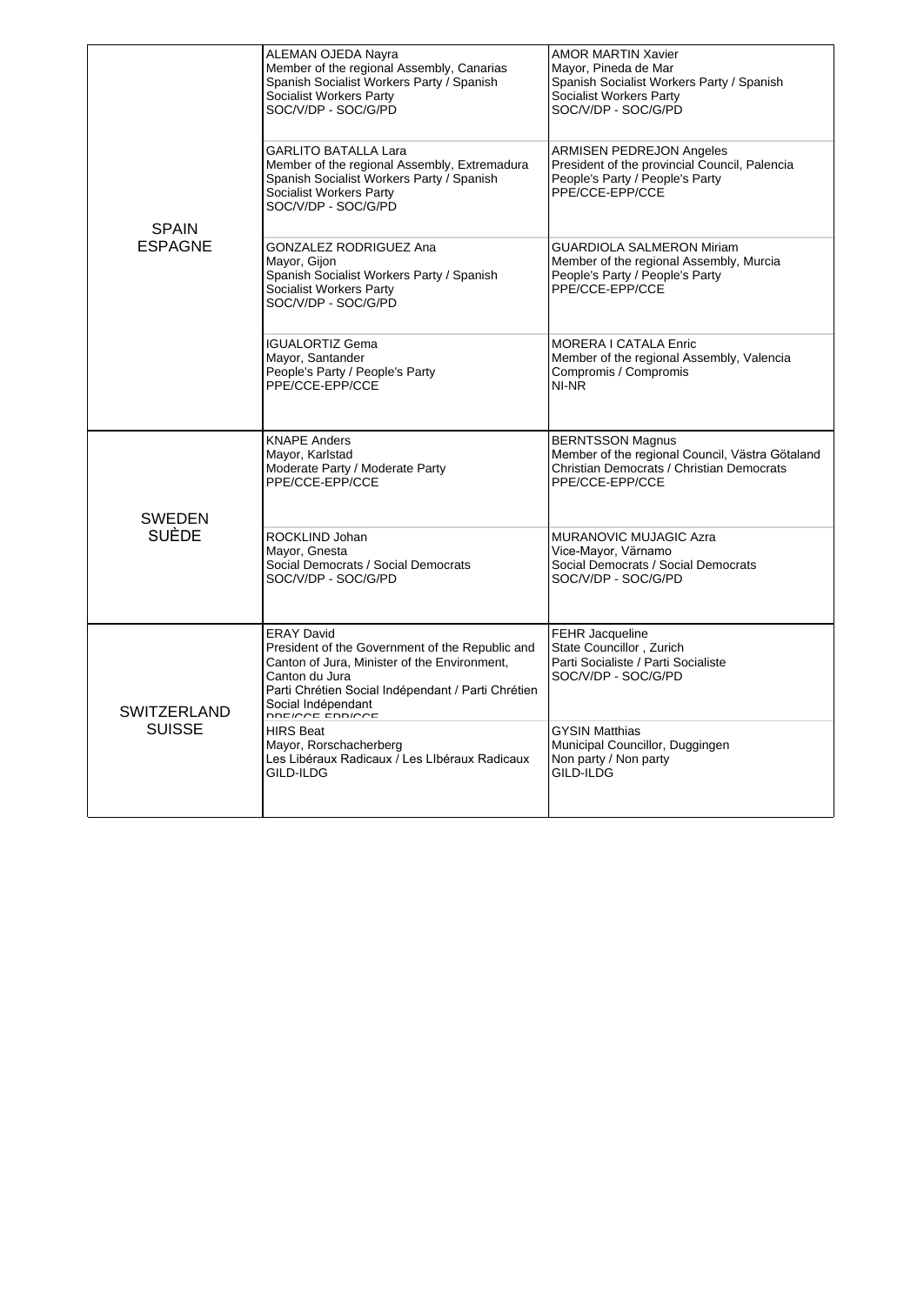| <b>SPAIN</b><br><b>ESPAGNE</b>      | ALEMAN OJEDA Nayra<br>Member of the regional Assembly, Canarias<br>Spanish Socialist Workers Party / Spanish<br>Socialist Workers Party<br>SOC/V/DP - SOC/G/PD                                                                        | <b>AMOR MARTIN Xavier</b><br>Mayor, Pineda de Mar<br>Spanish Socialist Workers Party / Spanish<br>Socialist Workers Party<br>SOC/V/DP - SOC/G/PD |
|-------------------------------------|---------------------------------------------------------------------------------------------------------------------------------------------------------------------------------------------------------------------------------------|--------------------------------------------------------------------------------------------------------------------------------------------------|
|                                     | <b>GARLITO BATALLA Lara</b><br>Member of the regional Assembly, Extremadura<br>Spanish Socialist Workers Party / Spanish<br>Socialist Workers Party<br>SOC/V/DP - SOC/G/PD                                                            | <b>ARMISEN PEDREJON Angeles</b><br>President of the provincial Council, Palencia<br>People's Party / People's Party<br>PPE/CCE-EPP/CCE           |
|                                     | GONZALEZ RODRIGUEZ Ana<br>Mayor, Gijon<br>Spanish Socialist Workers Party / Spanish<br>Socialist Workers Party<br>SOC/V/DP - SOC/G/PD                                                                                                 | <b>GUARDIOLA SALMERON Miriam</b><br>Member of the regional Assembly, Murcia<br>People's Party / People's Party<br>PPE/CCE-EPP/CCE                |
|                                     | <b>IGUALORTIZ Gema</b><br>Mayor, Santander<br>People's Party / People's Party<br>PPE/CCE-EPP/CCE                                                                                                                                      | <b>MORERA I CATALA Enric</b><br>Member of the regional Assembly, Valencia<br>Compromis / Compromis<br>NI-NR                                      |
| <b>SWEDEN</b>                       | <b>KNAPE Anders</b><br>Mayor, Karlstad<br>Moderate Party / Moderate Party<br>PPE/CCE-EPP/CCE                                                                                                                                          | <b>BERNTSSON Magnus</b><br>Member of the regional Council, Västra Götaland<br>Christian Democrats / Christian Democrats<br>PPE/CCE-EPP/CCE       |
| <b>SUÈDE</b>                        | ROCKLIND Johan<br>Mayor, Gnesta<br>Social Democrats / Social Democrats<br>SOC/V/DP - SOC/G/PD                                                                                                                                         | <b>MURANOVIC MUJAGIC Azra</b><br>Vice-Mayor, Värnamo<br>Social Democrats / Social Democrats<br>SOC/V/DP - SOC/G/PD                               |
| <b>SWITZERLAND</b><br><b>SUISSE</b> | <b>ERAY David</b><br>President of the Government of the Republic and<br>Canton of Jura, Minister of the Environment,<br>Canton du Jura<br>Parti Chrétien Social Indépendant / Parti Chrétien<br>Social Indépendant<br>DDE/CCE EDD/CCE | FEHR Jacqueline<br>State Councillor, Zurich<br>Parti Socialiste / Parti Socialiste<br>SOC/V/DP - SOC/G/PD                                        |
|                                     | <b>HIRS Beat</b><br>Mayor, Rorschacherberg<br>Les Libéraux Radicaux / Les Libéraux Radicaux<br>GILD-ILDG                                                                                                                              | <b>GYSIN Matthias</b><br>Municipal Councillor, Duggingen<br>Non party / Non party<br>GILD-ILDG                                                   |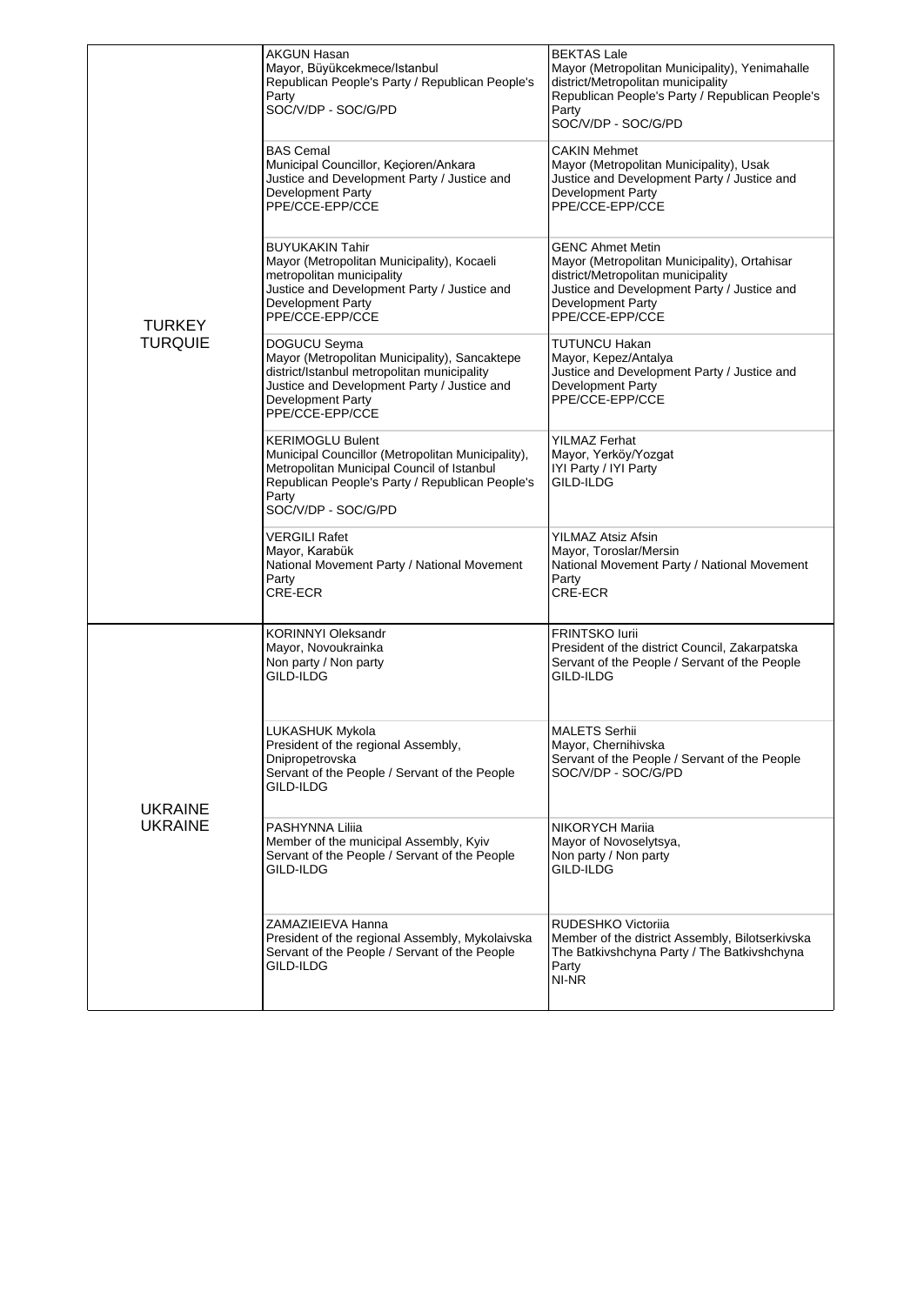|                                  | <b>AKGUN Hasan</b><br>Mayor, Büyükcekmece/Istanbul<br>Republican People's Party / Republican People's<br>Party<br>SOC/V/DP - SOC/G/PD                                                                         | <b>BEKTAS Lale</b><br>Mayor (Metropolitan Municipality), Yenimahalle<br>district/Metropolitan municipality<br>Republican People's Party / Republican People's<br>Party<br>SOC/V/DP - SOC/G/PD               |
|----------------------------------|---------------------------------------------------------------------------------------------------------------------------------------------------------------------------------------------------------------|-------------------------------------------------------------------------------------------------------------------------------------------------------------------------------------------------------------|
|                                  | <b>BAS Cemal</b><br>Municipal Councillor, Keçioren/Ankara<br>Justice and Development Party / Justice and<br><b>Development Party</b><br>PPE/CCE-EPP/CCE                                                       | <b>CAKIN Mehmet</b><br>Mayor (Metropolitan Municipality), Usak<br>Justice and Development Party / Justice and<br><b>Development Party</b><br>PPE/CCE-EPP/CCE                                                |
| <b>TURKEY</b>                    | <b>BUYUKAKIN Tahir</b><br>Mayor (Metropolitan Municipality), Kocaeli<br>metropolitan municipality<br>Justice and Development Party / Justice and<br><b>Development Party</b><br>PPE/CCE-EPP/CCE               | <b>GENC Ahmet Metin</b><br>Mayor (Metropolitan Municipality), Ortahisar<br>district/Metropolitan municipality<br>Justice and Development Party / Justice and<br><b>Development Party</b><br>PPE/CCE-EPP/CCE |
| <b>TURQUIE</b>                   | DOGUCU Seyma<br>Mayor (Metropolitan Municipality), Sancaktepe<br>district/Istanbul metropolitan municipality<br>Justice and Development Party / Justice and<br><b>Development Party</b><br>PPE/CCE-EPP/CCE    | TUTUNCU Hakan<br>Mayor, Kepez/Antalya<br>Justice and Development Party / Justice and<br>Development Party<br>PPE/CCE-EPP/CCE                                                                                |
|                                  | <b>KERIMOGLU Bulent</b><br>Municipal Councillor (Metropolitan Municipality),<br>Metropolitan Municipal Council of Istanbul<br>Republican People's Party / Republican People's<br>Party<br>SOC/V/DP - SOC/G/PD | YILMAZ Ferhat<br>Mayor, Yerköy/Yozgat<br>IYI Party / IYI Party<br>GILD-ILDG                                                                                                                                 |
|                                  | VERGILI Rafet<br>Mayor, Karabük<br>National Movement Party / National Movement<br>Party<br>CRE-ECR                                                                                                            | YILMAZ Atsiz Afsin<br>Mayor, Toroslar/Mersin<br>National Movement Party / National Movement<br>Party<br>CRE-ECR                                                                                             |
| <b>UKRAINE</b><br><b>UKRAINE</b> | <b>KORINNYI Oleksandr</b><br>Mayor, Novoukrainka<br>Non party / Non party<br>GILD-ILDG                                                                                                                        | FRINTSKO lurii<br>President of the district Council, Zakarpatska<br>Servant of the People / Servant of the People<br>GILD-ILDG                                                                              |
|                                  | LUKASHUK Mykola<br>President of the regional Assembly,<br>Dnipropetrovska<br>Servant of the People / Servant of the People<br>GILD-ILDG                                                                       | <b>MALETS Serhii</b><br>Mayor, Chernihivska<br>Servant of the People / Servant of the People<br>SOC/V/DP - SOC/G/PD                                                                                         |
|                                  | PASHYNNA Liliia<br>Member of the municipal Assembly, Kyiv<br>Servant of the People / Servant of the People<br>GILD-ILDG                                                                                       | NIKORYCH Mariia<br>Mayor of Novoselytsya,<br>Non party / Non party<br>GILD-ILDG                                                                                                                             |
|                                  | ZAMAZIEIEVA Hanna<br>President of the regional Assembly, Mykolaivska<br>Servant of the People / Servant of the People<br>GILD-ILDG                                                                            | RUDESHKO Victoriia<br>Member of the district Assembly, Bilotserkivska<br>The Batkivshchyna Party / The Batkivshchyna<br>Party<br>NI-NR                                                                      |